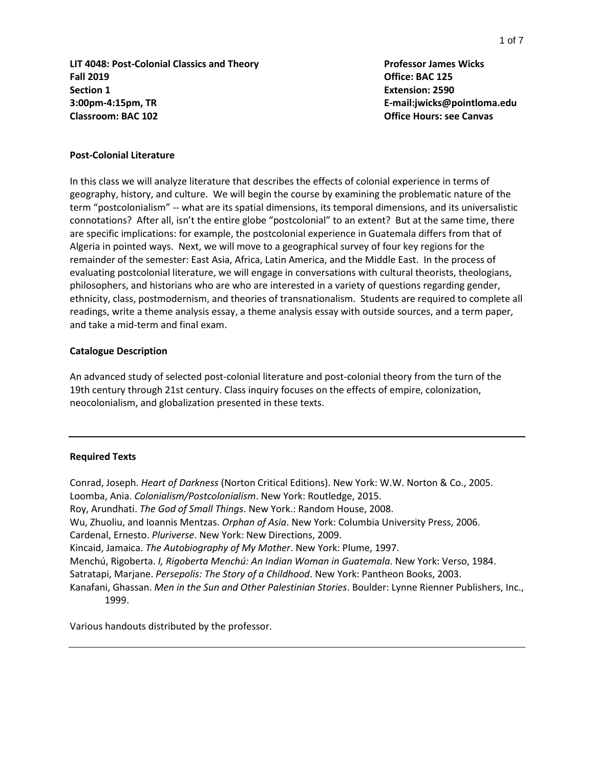**LIT 4048: Post-Colonial Classics and Theory Professor James Wicks Fall 2019 Office: BAC 125 Section 1 Extension: 2590 3:00pm-4:15pm, TR E-mail:jwicks@pointloma.edu Classroom: BAC 102 Office Hours: see Canvas**

#### **Post-Colonial Literature**

In this class we will analyze literature that describes the effects of colonial experience in terms of geography, history, and culture. We will begin the course by examining the problematic nature of the term "postcolonialism" -- what are its spatial dimensions, its temporal dimensions, and its universalistic connotations? After all, isn't the entire globe "postcolonial" to an extent? But at the same time, there are specific implications: for example, the postcolonial experience in Guatemala differs from that of Algeria in pointed ways. Next, we will move to a geographical survey of four key regions for the remainder of the semester: East Asia, Africa, Latin America, and the Middle East. In the process of evaluating postcolonial literature, we will engage in conversations with cultural theorists, theologians, philosophers, and historians who are who are interested in a variety of questions regarding gender, ethnicity, class, postmodernism, and theories of transnationalism. Students are required to complete all readings, write a theme analysis essay, a theme analysis essay with outside sources, and a term paper, and take a mid-term and final exam.

#### **Catalogue Description**

An advanced study of selected post-colonial literature and post-colonial theory from the turn of the 19th century through 21st century. Class inquiry focuses on the effects of empire, colonization, neocolonialism, and globalization presented in these texts.

#### **Required Texts**

Conrad, Joseph. *Heart of Darkness* (Norton Critical Editions). New York: W.W. Norton & Co., 2005. Loomba, Ania. *Colonialism/Postcolonialism*. New York: Routledge, 2015. Roy, Arundhati. *The God of Small Things*. New York.: Random House, 2008. Wu, Zhuoliu, and Ioannis Mentzas. *Orphan of Asia*. New York: Columbia University Press, 2006. Cardenal, Ernesto. *Pluriverse*. New York: New Directions, 2009. Kincaid, Jamaica. *The Autobiography of My Mother*. New York: Plume, 1997. Menchú, Rigoberta. *I, Rigoberta Menchú: An Indian Woman in Guatemala*. New York: Verso, 1984. Satratapi, Marjane. *Persepolis: The Story of a Childhood*. New York: Pantheon Books, 2003. Kanafani, Ghassan. *Men in the Sun and Other Palestinian Stories*. Boulder: Lynne Rienner Publishers, Inc., 1999.

Various handouts distributed by the professor.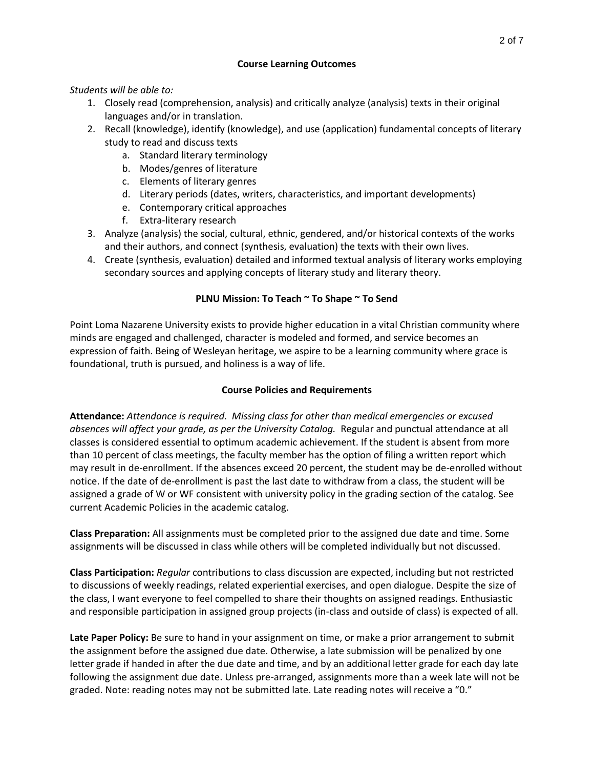### **Course Learning Outcomes**

### *Students will be able to:*

- 1. Closely read (comprehension, analysis) and critically analyze (analysis) texts in their original languages and/or in translation.
- 2. Recall (knowledge), identify (knowledge), and use (application) fundamental concepts of literary study to read and discuss texts
	- a. Standard literary terminology
	- b. Modes/genres of literature
	- c. Elements of literary genres
	- d. Literary periods (dates, writers, characteristics, and important developments)
	- e. Contemporary critical approaches
	- f. Extra-literary research
- 3. Analyze (analysis) the social, cultural, ethnic, gendered, and/or historical contexts of the works and their authors, and connect (synthesis, evaluation) the texts with their own lives.
- 4. Create (synthesis, evaluation) detailed and informed textual analysis of literary works employing secondary sources and applying concepts of literary study and literary theory.

## **PLNU Mission: To Teach ~ To Shape ~ To Send**

Point Loma Nazarene University exists to provide higher education in a vital Christian community where minds are engaged and challenged, character is modeled and formed, and service becomes an expression of faith. Being of Wesleyan heritage, we aspire to be a learning community where grace is foundational, truth is pursued, and holiness is a way of life.

## **Course Policies and Requirements**

**Attendance:** *Attendance is required. Missing class for other than medical emergencies or excused absences will affect your grade, as per the University Catalog.* Regular and punctual attendance at all classes is considered essential to optimum academic achievement. If the student is absent from more than 10 percent of class meetings, the faculty member has the option of filing a written report which may result in de-enrollment. If the absences exceed 20 percent, the student may be de-enrolled without notice. If the date of de-enrollment is past the last date to withdraw from a class, the student will be assigned a grade of W or WF consistent with university policy in the grading section of the catalog. See current Academic Policies in the academic catalog.

**Class Preparation:** All assignments must be completed prior to the assigned due date and time. Some assignments will be discussed in class while others will be completed individually but not discussed.

**Class Participation:** *Regular* contributions to class discussion are expected, including but not restricted to discussions of weekly readings, related experiential exercises, and open dialogue. Despite the size of the class, I want everyone to feel compelled to share their thoughts on assigned readings. Enthusiastic and responsible participation in assigned group projects (in-class and outside of class) is expected of all.

**Late Paper Policy:** Be sure to hand in your assignment on time, or make a prior arrangement to submit the assignment before the assigned due date. Otherwise, a late submission will be penalized by one letter grade if handed in after the due date and time, and by an additional letter grade for each day late following the assignment due date. Unless pre-arranged, assignments more than a week late will not be graded. Note: reading notes may not be submitted late. Late reading notes will receive a "0."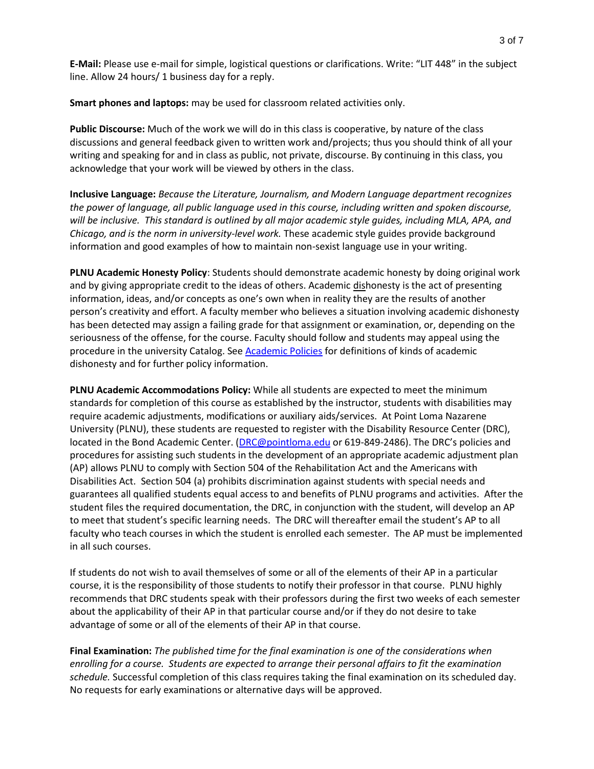**E-Mail:** Please use e-mail for simple, logistical questions or clarifications. Write: "LIT 448" in the subject line. Allow 24 hours/ 1 business day for a reply.

**Smart phones and laptops:** may be used for classroom related activities only.

**Public Discourse:** Much of the work we will do in this class is cooperative, by nature of the class discussions and general feedback given to written work and/projects; thus you should think of all your writing and speaking for and in class as public, not private, discourse. By continuing in this class, you acknowledge that your work will be viewed by others in the class.

**Inclusive Language:** *Because the Literature, Journalism, and Modern Language department recognizes the power of language, all public language used in this course, including written and spoken discourse, will be inclusive. This standard is outlined by all major academic style guides, including MLA, APA, and Chicago, and is the norm in university-level work.* These academic style guides provide background information and good examples of how to maintain non-sexist language use in your writing.

**PLNU Academic Honesty Policy**: Students should demonstrate academic honesty by doing original work and by giving appropriate credit to the ideas of others. Academic dishonesty is the act of presenting information, ideas, and/or concepts as one's own when in reality they are the results of another person's creativity and effort. A faculty member who believes a situation involving academic dishonesty has been detected may assign a failing grade for that assignment or examination, or, depending on the seriousness of the offense, for the course. Faculty should follow and students may appeal using the procedure in the university Catalog. See [Academic Policies](http://catalog.pointloma.edu/content.php?catoid=18&navoid=1278) for definitions of kinds of academic dishonesty and for further policy information.

**PLNU Academic Accommodations Policy:** While all students are expected to meet the minimum standards for completion of this course as established by the instructor, students with disabilities may require academic adjustments, modifications or auxiliary aids/services. At Point Loma Nazarene University (PLNU), these students are requested to register with the Disability Resource Center (DRC), located in the Bond Academic Center. [\(DRC@pointloma.edu](mailto:DRC@pointloma.edu) or 619-849-2486). The DRC's policies and procedures for assisting such students in the development of an appropriate academic adjustment plan (AP) allows PLNU to comply with Section 504 of the Rehabilitation Act and the Americans with Disabilities Act. Section 504 (a) prohibits discrimination against students with special needs and guarantees all qualified students equal access to and benefits of PLNU programs and activities. After the student files the required documentation, the DRC, in conjunction with the student, will develop an AP to meet that student's specific learning needs. The DRC will thereafter email the student's AP to all faculty who teach courses in which the student is enrolled each semester. The AP must be implemented in all such courses.

If students do not wish to avail themselves of some or all of the elements of their AP in a particular course, it is the responsibility of those students to notify their professor in that course. PLNU highly recommends that DRC students speak with their professors during the first two weeks of each semester about the applicability of their AP in that particular course and/or if they do not desire to take advantage of some or all of the elements of their AP in that course.

**Final Examination:** *The published time for the final examination is one of the considerations when enrolling for a course. Students are expected to arrange their personal affairs to fit the examination schedule.* Successful completion of this class requires taking the final examination on its scheduled day. No requests for early examinations or alternative days will be approved.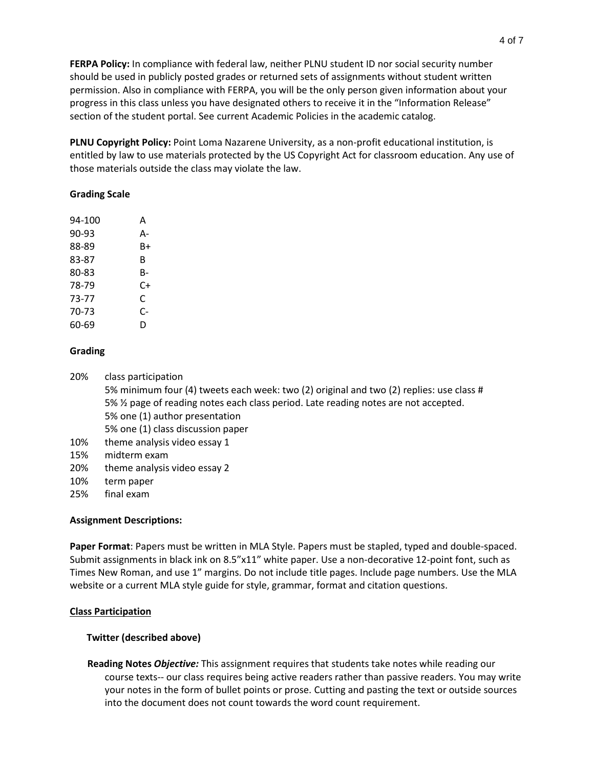**FERPA Policy:** In compliance with federal law, neither PLNU student ID nor social security number should be used in publicly posted grades or returned sets of assignments without student written permission. Also in compliance with FERPA, you will be the only person given information about your progress in this class unless you have designated others to receive it in the "Information Release" section of the student portal. See current Academic Policies in the academic catalog.

**PLNU Copyright Policy:** Point Loma Nazarene University, as a non-profit educational institution, is entitled by law to use materials protected by the US Copyright Act for classroom education. Any use of those materials outside the class may violate the law.

### **Grading Scale**

| 94-100 | А  |
|--------|----|
| 90-93  | А- |
| 88-89  | B+ |
| 83-87  | В  |
| 80-83  | B- |
| 78-79  | C+ |
| 73-77  | C  |
| 70-73  | C- |
| 60-69  | D  |
|        |    |

### **Grading**

20% class participation

5% minimum four (4) tweets each week: two (2) original and two (2) replies: use class # 5% ½ page of reading notes each class period. Late reading notes are not accepted. 5% one (1) author presentation 5% one (1) class discussion paper

- 10% theme analysis video essay 1
- 15% midterm exam
- 20% theme analysis video essay 2
- 10% term paper
- 25% final exam

## **Assignment Descriptions:**

**Paper Format**: Papers must be written in MLA Style. Papers must be stapled, typed and double-spaced. Submit assignments in black ink on 8.5"x11" white paper. Use a non-decorative 12-point font, such as Times New Roman, and use 1" margins. Do not include title pages. Include page numbers. Use the MLA website or a current MLA style guide for style, grammar, format and citation questions.

## **Class Participation**

## **Twitter (described above)**

**Reading Notes** *Objective:* This assignment requires that students take notes while reading our course texts-- our class requires being active readers rather than passive readers. You may write your notes in the form of bullet points or prose. Cutting and pasting the text or outside sources into the document does not count towards the word count requirement.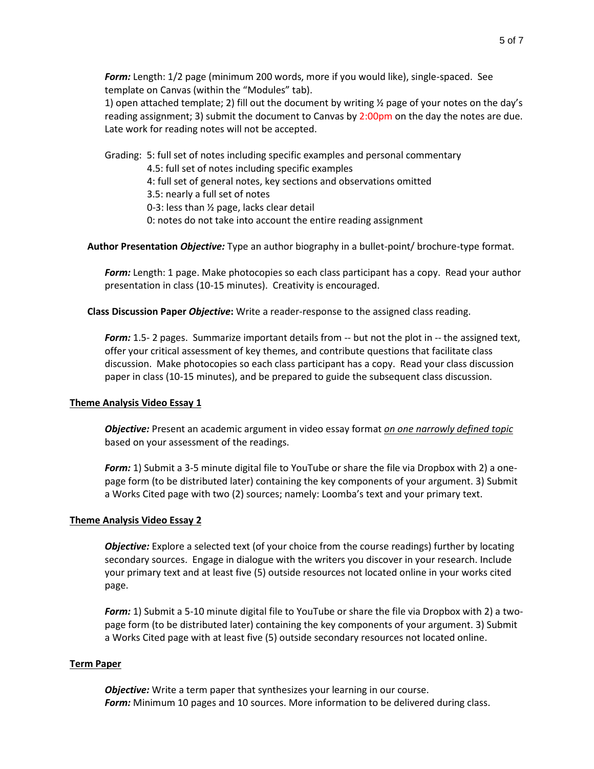*Form:* Length: 1/2 page (minimum 200 words, more if you would like), single-spaced. See template on Canvas (within the "Modules" tab).

1) open attached template; 2) fill out the document by writing  $\frac{1}{2}$  page of your notes on the day's reading assignment; 3) submit the document to Canvas by 2:00pm on the day the notes are due. Late work for reading notes will not be accepted.

Grading: 5: full set of notes including specific examples and personal commentary

4.5: full set of notes including specific examples

4: full set of general notes, key sections and observations omitted

3.5: nearly a full set of notes

0-3: less than ½ page, lacks clear detail

0: notes do not take into account the entire reading assignment

**Author Presentation** *Objective:* Type an author biography in a bullet-point/ brochure-type format.

*Form:* Length: 1 page. Make photocopies so each class participant has a copy. Read your author presentation in class (10-15 minutes). Creativity is encouraged.

**Class Discussion Paper** *Objective***:** Write a reader-response to the assigned class reading.

*Form:* 1.5- 2 pages. Summarize important details from -- but not the plot in -- the assigned text, offer your critical assessment of key themes, and contribute questions that facilitate class discussion. Make photocopies so each class participant has a copy. Read your class discussion paper in class (10-15 minutes), and be prepared to guide the subsequent class discussion.

#### **Theme Analysis Video Essay 1**

*Objective:* Present an academic argument in video essay format *on one narrowly defined topic* based on your assessment of the readings.

*Form:* 1) Submit a 3-5 minute digital file to YouTube or share the file via Dropbox with 2) a onepage form (to be distributed later) containing the key components of your argument. 3) Submit a Works Cited page with two (2) sources; namely: Loomba's text and your primary text.

#### **Theme Analysis Video Essay 2**

*Objective:* Explore a selected text (of your choice from the course readings) further by locating secondary sources. Engage in dialogue with the writers you discover in your research. Include your primary text and at least five (5) outside resources not located online in your works cited page.

*Form:* 1) Submit a 5-10 minute digital file to YouTube or share the file via Dropbox with 2) a twopage form (to be distributed later) containing the key components of your argument. 3) Submit a Works Cited page with at least five (5) outside secondary resources not located online.

#### **Term Paper**

*Objective:* Write a term paper that synthesizes your learning in our course. *Form:* Minimum 10 pages and 10 sources. More information to be delivered during class.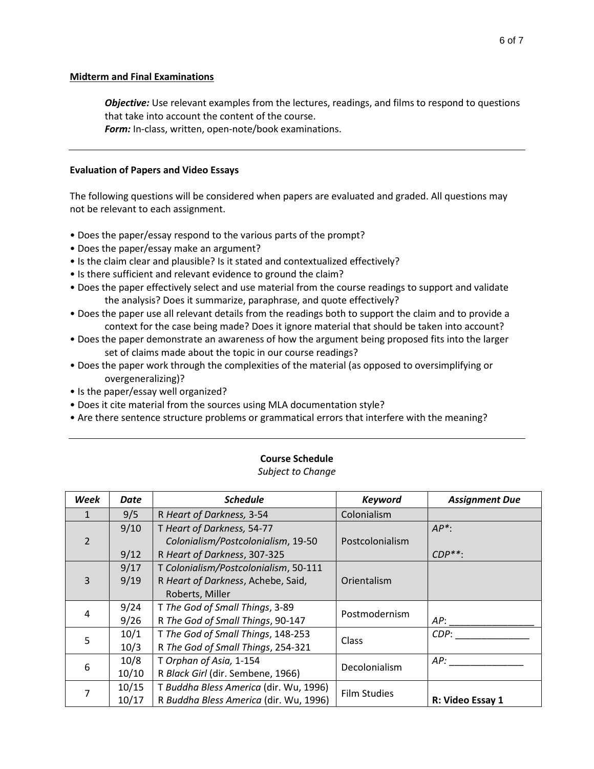### **Midterm and Final Examinations**

*Objective:* Use relevant examples from the lectures, readings, and films to respond to questions that take into account the content of the course.

*Form:* In-class, written, open-note/book examinations.

#### **Evaluation of Papers and Video Essays**

The following questions will be considered when papers are evaluated and graded. All questions may not be relevant to each assignment.

- Does the paper/essay respond to the various parts of the prompt?
- Does the paper/essay make an argument?
- Is the claim clear and plausible? Is it stated and contextualized effectively?
- Is there sufficient and relevant evidence to ground the claim?
- Does the paper effectively select and use material from the course readings to support and validate the analysis? Does it summarize, paraphrase, and quote effectively?
- Does the paper use all relevant details from the readings both to support the claim and to provide a context for the case being made? Does it ignore material that should be taken into account?
- Does the paper demonstrate an awareness of how the argument being proposed fits into the larger set of claims made about the topic in our course readings?
- Does the paper work through the complexities of the material (as opposed to oversimplifying or overgeneralizing)?
- Is the paper/essay well organized?
- Does it cite material from the sources using MLA documentation style?
- Are there sentence structure problems or grammatical errors that interfere with the meaning?

| Week          | Date  | <b>Schedule</b>                        | <b>Keyword</b>      | <b>Assignment Due</b> |
|---------------|-------|----------------------------------------|---------------------|-----------------------|
| 1             | 9/5   | R Heart of Darkness, 3-54              | Colonialism         |                       |
|               | 9/10  | T Heart of Darkness, 54-77             |                     | $AP^*$ :              |
| $\mathcal{P}$ |       | Colonialism/Postcolonialism, 19-50     | Postcolonialism     |                       |
|               | 9/12  | R Heart of Darkness, 307-325           |                     | $CDP^{**}$ :          |
| 3             | 9/17  | T Colonialism/Postcolonialism, 50-111  |                     |                       |
|               | 9/19  | R Heart of Darkness, Achebe, Said,     | Orientalism         |                       |
|               |       | Roberts, Miller                        |                     |                       |
| 4             | 9/24  | T The God of Small Things, 3-89        | Postmodernism       |                       |
|               | 9/26  | R The God of Small Things, 90-147      |                     | AP:                   |
| 5             | 10/1  | T The God of Small Things, 148-253     | Class               | CDP:                  |
|               | 10/3  | R The God of Small Things, 254-321     |                     |                       |
| 6             | 10/8  | T Orphan of Asia, 1-154                | Decolonialism       | AP:                   |
|               | 10/10 | R Black Girl (dir. Sembene, 1966)      |                     |                       |
|               | 10/15 | T Buddha Bless America (dir. Wu, 1996) | <b>Film Studies</b> |                       |
|               | 10/17 | R Buddha Bless America (dir. Wu, 1996) |                     | R: Video Essay 1      |

# **Course Schedule**

*Subject to Change*